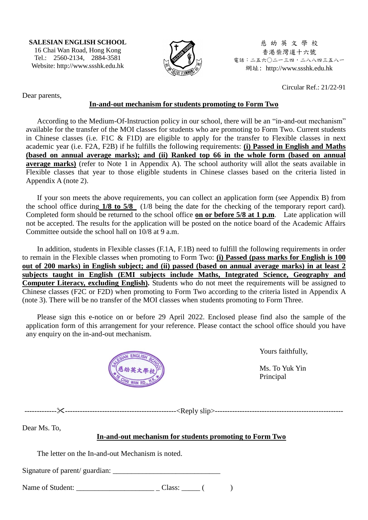**SALESIAN ENGLISH SCHOOL** 16 Chai Wan Road, Hong Kong Tel.: 2560-2134, 2884-3581 Website: http://www.ssshk.edu.hk



慈 幼 英 文 學 校 香港柴灣道十六號 電話:二五六○二一三四,二八八四三五八一 網址: http://www.ssshk.edu.hk

Dear parents,

 $Circular Ref.21/22-91$ 

#### **In-and-out mechanism for students promoting to Form Two**

According to the Medium-Of-Instruction policy in our school, there will be an "in-and-out mechanism" available for the transfer of the MOI classes for students who are promoting to Form Two. Current students in Chinese classes (i.e. F1C & F1D) are eligible to apply for the transfer to Flexible classes in next academic year (i.e. F2A, F2B) if he fulfills the following requirements: **(i) Passed in English and Maths (based on annual average marks); and (ii) Ranked top 66 in the whole form (based on annual average marks)** (refer to Note 1 in Appendix A). The school authority will allot the seats available in Flexible classes that year to those eligible students in Chinese classes based on the criteria listed in Appendix A (note 2).

If your son meets the above requirements, you can collect an application form (see Appendix B) from the school office during **1/8 to 5/8** (1/8 being the date for the checking of the temporary report card). Completed form should be returned to the school office **on or before 5/8 at 1 p.m**. Late application will not be accepted. The results for the application will be posted on the notice board of the Academic Affairs Committee outside the school hall on 10/8 at 9 a.m.

In addition, students in Flexible classes (F.1A, F.1B) need to fulfill the following requirements in order to remain in the Flexible classes when promoting to Form Two: **(i) Passed (pass marks for English is 100 out of 200 marks) in English subject; and (ii) passed (based on annual average marks) in at least 2 subjects taught in English (EMI subjects include Maths, Integrated Science, Geography and Computer Literacy, excluding English).** Students who do not meet the requirements will be assigned to Chinese classes (F2C or F2D) when promoting to Form Two according to the criteria listed in Appendix A (note 3). There will be no transfer of the MOI classes when students promoting to Form Three.

Please sign this e-notice on or before 29 April 2022. Enclosed please find also the sample of the application form of this arrangement for your reference. Please contact the school office should you have any enquiry on the in-and-out mechanism.



Yours faithfully,

Ms. To Yuk Yin Principal

----------------------------------------------------------<Reply slip>----------------------------------------------------

Dear Ms. To,

### **In-and-out mechanism for students promoting to Form Two**

The letter on the In-and-out Mechanism is noted.

Signature of parent/ guardian:

Name of Student: \_\_\_\_\_\_\_\_\_\_\_\_\_\_\_\_\_\_\_\_\_ \_ Class: \_\_\_\_\_ ( )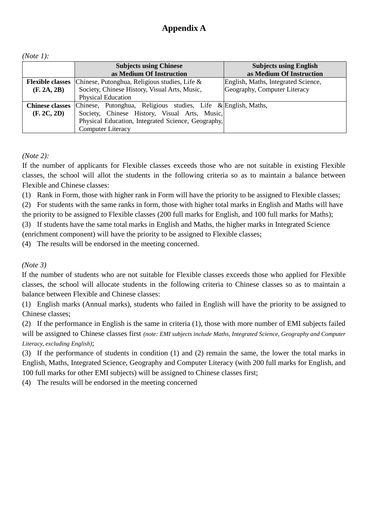| ( <i>Note 1</i> ): |  |
|--------------------|--|
|                    |  |

|                         | <b>Subjects using Chinese</b><br>as Medium Of Instruction     | <b>Subjects using English</b><br>as Medium Of Instruction |
|-------------------------|---------------------------------------------------------------|-----------------------------------------------------------|
| <b>Flexible classes</b> | Chinese, Putonghua, Religious studies, Life $\&$              | English, Maths, Integrated Science,                       |
| (F. 2A, 2B)             | Society, Chinese History, Visual Arts, Music,                 | Geography, Computer Literacy                              |
|                         | <b>Physical Education</b>                                     |                                                           |
| <b>Chinese classes</b>  | Chinese, Putonghua, Religious studies, Life & English, Maths, |                                                           |
| (F. 2C, 2D)             | Society, Chinese History, Visual Arts, Music,                 |                                                           |
|                         | Physical Education, Integrated Science, Geography,            |                                                           |
|                         | <b>Computer Literacy</b>                                      |                                                           |

*(Note 2):*

If the number of applicants for Flexible classes exceeds those who are not suitable in existing Flexible classes, the school will allot the students in the following criteria so as to maintain a balance between Flexible and Chinese classes:

(1) Rank in Form, those with higher rank in Form will have the priority to be assigned to Flexible classes;

(2) For students with the same ranks in form, those with higher total marks in English and Maths will have the priority to be assigned to Flexible classes (200 full marks for English, and 100 full marks for Maths);

(3) If students have the same total marks in English and Maths, the higher marks in Integrated Science

(enrichment component) will have the priority to be assigned to Flexible classes;

(4) The results will be endorsed in the meeting concerned.

### *(Note 3)*

If the number of students who are not suitable for Flexible classes exceeds those who applied for Flexible classes, the school will allocate students in the following criteria to Chinese classes so as to maintain a balance between Flexible and Chinese classes:

(1) English marks (Annual marks), students who failed in English will have the priority to be assigned to Chinese classes;

(2) If the performance in English is the same in criteria (1), those with more number of EMI subjects failed will be assigned to Chinese classes first *(note: EMI subjects include Maths, Integrated Science, Geography and Computer* 

*Literacy, excluding English)*;

(3) If the performance of students in condition (1) and (2) remain the same, the lower the total marks in English, Maths, Integrated Science, Geography and Computer Literacy (with 200 full marks for English, and 100 full marks for other EMI subjects) will be assigned to Chinese classes first;

(4) The results will be endorsed in the meeting concerned